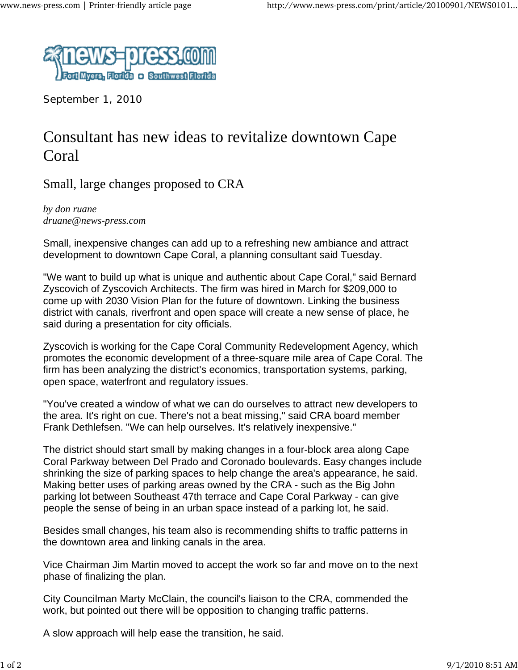

September 1, 2010

## Consultant has new ideas to revitalize downtown Cape Coral

Small, large changes proposed to CRA

*by don ruane druane@news-press.com*

Small, inexpensive changes can add up to a refreshing new ambiance and attract development to downtown Cape Coral, a planning consultant said Tuesday.

"We want to build up what is unique and authentic about Cape Coral," said Bernard Zyscovich of Zyscovich Architects. The firm was hired in March for \$209,000 to come up with 2030 Vision Plan for the future of downtown. Linking the business district with canals, riverfront and open space will create a new sense of place, he said during a presentation for city officials.

Zyscovich is working for the Cape Coral Community Redevelopment Agency, which promotes the economic development of a three-square mile area of Cape Coral. The firm has been analyzing the district's economics, transportation systems, parking, open space, waterfront and regulatory issues.

"You've created a window of what we can do ourselves to attract new developers to the area. It's right on cue. There's not a beat missing," said CRA board member Frank Dethlefsen. "We can help ourselves. It's relatively inexpensive."

The district should start small by making changes in a four-block area along Cape Coral Parkway between Del Prado and Coronado boulevards. Easy changes include shrinking the size of parking spaces to help change the area's appearance, he said. Making better uses of parking areas owned by the CRA - such as the Big John parking lot between Southeast 47th terrace and Cape Coral Parkway - can give people the sense of being in an urban space instead of a parking lot, he said.

Besides small changes, his team also is recommending shifts to traffic patterns in the downtown area and linking canals in the area.

Vice Chairman Jim Martin moved to accept the work so far and move on to the next phase of finalizing the plan.

City Councilman Marty McClain, the council's liaison to the CRA, commended the work, but pointed out there will be opposition to changing traffic patterns.

A slow approach will help ease the transition, he said.